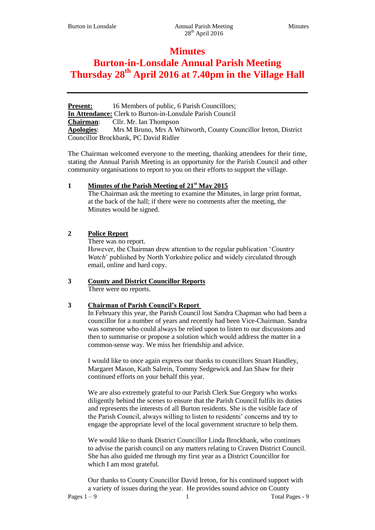# **Minutes**

# **Burton-in-Lonsdale Annual Parish Meeting Thursday 28th April 2016 at 7.40pm in the Village Hall**

**Present:** 16 Members of public, 6 Parish Councillors; **In Attendance:** Clerk to Burton-in-Lonsdale Parish Council **Chairman**: Cllr. Mr. Ian Thompson **Apologies**: Mrs M Bruno, Mrs A Whitworth, County Councillor Ireton, District Councillor Brockbank, PC David Ridler

The Chairman welcomed everyone to the meeting, thanking attendees for their time, stating the Annual Parish Meeting is an opportunity for the Parish Council and other community organisations to report to you on their efforts to support the village.

# **1 Minutes of the Parish Meeting of 21st May 2015**

The Chairman ask the meeting to examine the Minutes, in large print format, at the back of the hall; if there were no comments after the meeting, the Minutes would be signed.

# **2 Police Report**

There was no report.

However, the Chairman drew attention to the regular publication '*Country Watch*' published by North Yorkshire police and widely circulated through email, online and hard copy.

# **3 County and District Councillor Reports**

There were no reports.

# **3 Chairman of Parish Council's Report**

In February this year, the Parish Council lost Sandra Chapman who had been a councillor for a number of years and recently had been Vice-Chairman. Sandra was someone who could always be relied upon to listen to our discussions and then to summarise or propose a solution which would address the matter in a common-sense way. We miss her friendship and advice.

I would like to once again express our thanks to councillors Stuart Handley, Margaret Mason, Kath Salrein, Tommy Sedgewick and Jan Shaw for their continued efforts on your behalf this year.

We are also extremely grateful to our Parish Clerk Sue Gregory who works diligently behind the scenes to ensure that the Parish Council fulfils its duties and represents the interests of all Burton residents. She is the visible face of the Parish Council, always willing to listen to residents' concerns and try to engage the appropriate level of the local government structure to help them.

We would like to thank District Councillor Linda Brockbank, who continues to advise the parish council on any matters relating to Craven District Council. She has also guided me through my first year as a District Councillor for which I am most grateful.

Pages 1 – 9 1 Total Pages - 9 1 Total Pages - 9 1 Total Pages - 9 1 Total Pages - 9 1 Total Pages - 9 1 Total Pages - 9 1 Total Pages - 9 1 Total Pages - 9 1 Total Pages - 9 1 Total Pages - 9 1 Total Pages - 9 1 Total Page Our thanks to County Councillor David Ireton, for his continued support with a variety of issues during the year. He provides sound advice on County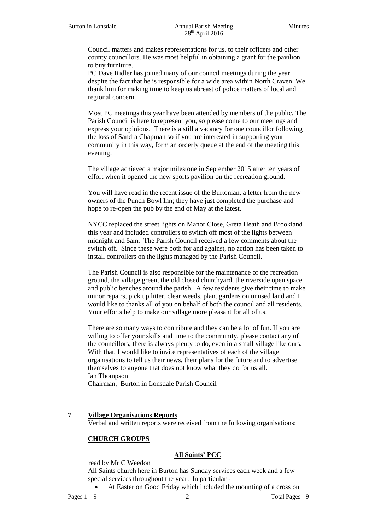Council matters and makes representations for us, to their officers and other county councillors. He was most helpful in obtaining a grant for the pavilion to buy furniture.

PC Dave Ridler has joined many of our council meetings during the year despite the fact that he is responsible for a wide area within North Craven. We thank him for making time to keep us abreast of police matters of local and regional concern.

Most PC meetings this year have been attended by members of the public. The Parish Council is here to represent you, so please come to our meetings and express your opinions. There is a still a vacancy for one councillor following the loss of Sandra Chapman so if you are interested in supporting your community in this way, form an orderly queue at the end of the meeting this evening!

The village achieved a major milestone in September 2015 after ten years of effort when it opened the new sports pavilion on the recreation ground.

You will have read in the recent issue of the Burtonian, a letter from the new owners of the Punch Bowl Inn; they have just completed the purchase and hope to re-open the pub by the end of May at the latest.

NYCC replaced the street lights on Manor Close, Greta Heath and Brookland this year and included controllers to switch off most of the lights between midnight and 5am. The Parish Council received a few comments about the switch off. Since these were both for and against, no action has been taken to install controllers on the lights managed by the Parish Council.

The Parish Council is also responsible for the maintenance of the recreation ground, the village green, the old closed churchyard, the riverside open space and public benches around the parish. A few residents give their time to make minor repairs, pick up litter, clear weeds, plant gardens on unused land and I would like to thanks all of you on behalf of both the council and all residents. Your efforts help to make our village more pleasant for all of us.

There are so many ways to contribute and they can be a lot of fun. If you are willing to offer your skills and time to the community, please contact any of the councillors; there is always plenty to do, even in a small village like ours. With that, I would like to invite representatives of each of the village organisations to tell us their news, their plans for the future and to advertise themselves to anyone that does not know what they do for us all. Ian Thompson Chairman, Burton in Lonsdale Parish Council

#### **7 Village Organisations Reports**

Verbal and written reports were received from the following organisations:

#### **CHURCH GROUPS**

## **All Saints' PCC**

read by Mr C Weedon

All Saints church here in Burton has Sunday services each week and a few special services throughout the year. In particular -

At Easter on Good Friday which included the mounting of a cross on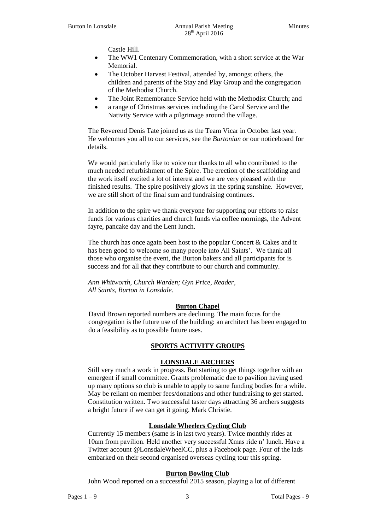Castle Hill.

- The WW1 Centenary Commemoration, with a short service at the War Memorial.
- The October Harvest Festival, attended by, amongst others, the children and parents of the Stay and Play Group and the congregation of the Methodist Church.
- The Joint Remembrance Service held with the Methodist Church; and
- a range of Christmas services including the Carol Service and the Nativity Service with a pilgrimage around the village.

The Reverend Denis Tate joined us as the Team Vicar in October last year. He welcomes you all to our services, see the *Burtonian* or our noticeboard for details.

We would particularly like to voice our thanks to all who contributed to the much needed refurbishment of the Spire. The erection of the scaffolding and the work itself excited a lot of interest and we are very pleased with the finished results. The spire positively glows in the spring sunshine. However, we are still short of the final sum and fundraising continues.

In addition to the spire we thank everyone for supporting our efforts to raise funds for various charities and church funds via coffee mornings, the Advent fayre, pancake day and the Lent lunch.

The church has once again been host to the popular Concert & Cakes and it has been good to welcome so many people into All Saints'. We thank all those who organise the event, the Burton bakers and all participants for is success and for all that they contribute to our church and community.

*Ann Whitworth, Church Warden; Gyn Price, Reader, All Saints, Burton in Lonsdale.*

## **Burton Chapel**

David Brown reported numbers are declining. The main focus for the congregation is the future use of the building: an architect has been engaged to do a feasibility as to possible future uses.

## **SPORTS ACTIVITY GROUPS**

## **LONSDALE ARCHERS**

Still very much a work in progress. But starting to get things together with an emergent if small committee. Grants problematic due to pavilion having used up many options so club is unable to apply to same funding bodies for a while. May be reliant on member fees/donations and other fundraising to get started. Constitution written. Two successful taster days attracting 36 archers suggests a bright future if we can get it going. Mark Christie.

## **Lonsdale Wheelers Cycling Club**

Currently 15 members (same is in last two years). Twice monthly rides at 10am from pavilion. Held another very successful Xmas ride n' lunch. Have a Twitter account @LonsdaleWheelCC, plus a Facebook page. Four of the lads embarked on their second organised overseas cycling tour this spring.

# **Burton Bowling Club**

John Wood reported on a successful 2015 season, playing a lot of different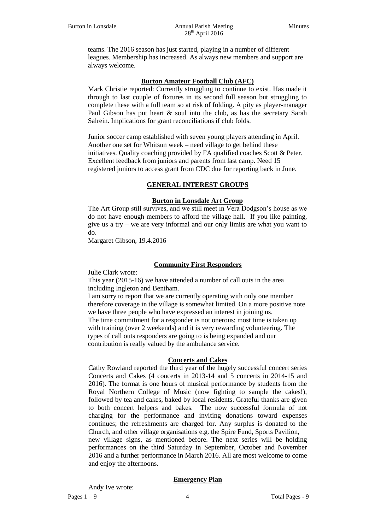teams. The 2016 season has just started, playing in a number of different leagues. Membership has increased. As always new members and support are always welcome.

## **Burton Amateur Football Club (AFC)**

Mark Christie reported: Currently struggling to continue to exist. Has made it through to last couple of fixtures in its second full season but struggling to complete these with a full team so at risk of folding. A pity as player-manager Paul Gibson has put heart & soul into the club, as has the secretary Sarah Salrein. Implications for grant reconciliations if club folds.

Junior soccer camp established with seven young players attending in April. Another one set for Whitsun week – need village to get behind these initiatives. Quality coaching provided by FA qualified coaches Scott & Peter. Excellent feedback from juniors and parents from last camp. Need 15 registered juniors to access grant from CDC due for reporting back in June.

#### **GENERAL INTEREST GROUPS**

#### **Burton in Lonsdale Art Group**

The Art Group still survives, and we still meet in Vera Dodgson's house as we do not have enough members to afford the village hall. If you like painting, give us a try – we are very informal and our only limits are what you want to do.

Margaret Gibson, 19.4.2016

#### **Community First Responders**

Julie Clark wrote:

This year (2015-16) we have attended a number of call outs in the area including Ingleton and Bentham.

I am sorry to report that we are currently operating with only one member therefore coverage in the village is somewhat limited. On a more positive note we have three people who have expressed an interest in joining us. The time commitment for a responder is not onerous; most time is taken up with training (over 2 weekends) and it is very rewarding volunteering. The types of call outs responders are going to is being expanded and our contribution is really valued by the ambulance service.

#### **Concerts and Cakes**

Cathy Rowland reported the third year of the hugely successful concert series Concerts and Cakes (4 concerts in 2013-14 and 5 concerts in 2014-15 and 2016). The format is one hours of musical performance by students from the Royal Northern College of Music (now fighting to sample the cakes!), followed by tea and cakes, baked by local residents. Grateful thanks are given to both concert helpers and bakes. The now successful formula of not charging for the performance and inviting donations toward expenses continues; the refreshments are charged for. Any surplus is donated to the Church, and other village organisations e.g. the Spire Fund, Sports Pavilion, new village signs, as mentioned before. The next series will be holding

performances on the third Saturday in September, October and November 2016 and a further performance in March 2016. All are most welcome to come and enjoy the afternoons.

#### **Emergency Plan**

Andy Ive wrote: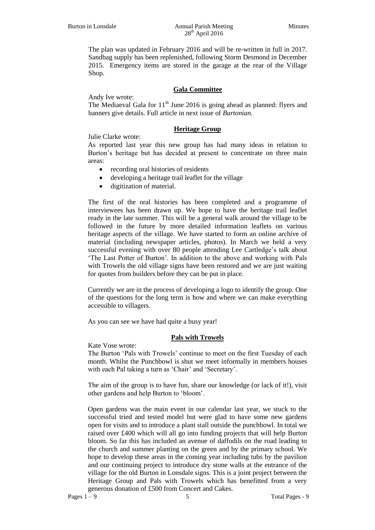The plan was updated in February 2016 and will be re-written in full in 2017. Sandbag supply has been replenished, following Storm Desmond in December 2015. Emergency items are stored in the garage at the rear of the Village Shop.

## **Gala Committee**

Andy Ive wrote:

The Mediaeval Gala for  $11<sup>th</sup>$  June 2016 is going ahead as planned: flyers and banners give details. Full article in next issue of *Burtonian.*

## **Heritage Group**

Julie Clarke wrote:

As reported last year this new group has had many ideas in relation to Burton's heritage but has decided at present to concentrate on three main areas:

- recording oral histories of residents
- developing a heritage trail leaflet for the village
- digitization of material.

The first of the oral histories has been completed and a programme of interviewees has been drawn up. We hope to have the heritage trail leaflet ready in the late summer. This will be a general walk around the village to be followed in the future by more detailed information leaflets on various heritage aspects of the village. We have started to form an online archive of material (including newspaper articles, photos). In March we held a very successful evening with over 80 people attending Lee Cartledge's talk about 'The Last Potter of Burton'. In addition to the above and working with Pals with Trowels the old village signs have been restored and we are just waiting for quotes from builders before they can be put in place.

Currently we are in the process of developing a logo to identify the group. One of the questions for the long term is how and where we can make everything accessible to villagers.

As you can see we have had quite a busy year!

#### **Pals with Trowels**

Kate Vose wrote:

The Burton 'Pals with Trowels' continue to meet on the first Tuesday of each month. Whilst the Punchbowl is shut we meet informally in members houses with each Pal taking a turn as 'Chair' and 'Secretary'.

The aim of the group is to have fun, share our knowledge (or lack of it!), visit other gardens and help Burton to 'bloom'.

Open gardens was the main event in our calendar last year, we stuck to the successful tried and tested model but were glad to have some new gardens open for visits and to introduce a plant stall outside the punchbowl. In total we raised over £400 which will all go into funding projects that will help Burton bloom. So far this has included an avenue of daffodils on the road leading to the church and summer planting on the green and by the primary school. We hope to develop these areas in the coming year including tubs by the pavilion and our continuing project to introduce dry stone walls at the entrance of the village for the old Burton in Lonsdale signs. This is a joint project between the Heritage Group and Pals with Trowels which has benefitted from a very generous donation of £500 from Concert and Cakes.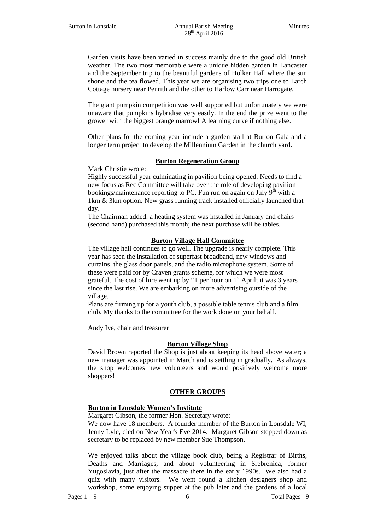Garden visits have been varied in success mainly due to the good old British weather. The two most memorable were a unique hidden garden in Lancaster and the September trip to the beautiful gardens of Holker Hall where the sun shone and the tea flowed. This year we are organising two trips one to Larch Cottage nursery near Penrith and the other to Harlow Carr near Harrogate.

The giant pumpkin competition was well supported but unfortunately we were unaware that pumpkins hybridise very easily. In the end the prize went to the grower with the biggest orange marrow! A learning curve if nothing else.

Other plans for the coming year include a garden stall at Burton Gala and a longer term project to develop the Millennium Garden in the church yard.

#### **Burton Regeneration Group**

Mark Christie wrote:

Highly successful year culminating in pavilion being opened. Needs to find a new focus as Rec Committee will take over the role of developing pavilion bookings/maintenance reporting to PC. Fun run on again on July  $9<sup>th</sup>$  with a 1km & 3km option. New grass running track installed officially launched that day.

The Chairman added: a heating system was installed in January and chairs (second hand) purchased this month; the next purchase will be tables.

#### **Burton Village Hall Committee**

The village hall continues to go well. The upgrade is nearly complete. This year has seen the installation of superfast broadband, new windows and curtains, the glass door panels, and the radio microphone system. Some of these were paid for by Craven grants scheme, for which we were most grateful. The cost of hire went up by £1 per hour on  $1<sup>st</sup>$  April; it was 3 years since the last rise. We are embarking on more advertising outside of the village.

Plans are firming up for a youth club, a possible table tennis club and a film club. My thanks to the committee for the work done on your behalf.

Andy Ive, chair and treasurer

#### **Burton Village Shop**

David Brown reported the Shop is just about keeping its head above water; a new manager was appointed in March and is settling in gradually. As always, the shop welcomes new volunteers and would positively welcome more shoppers!

#### **OTHER GROUPS**

#### **Burton in Lonsdale Women's Institute**

Margaret Gibson, the former Hon. Secretary wrote:

We now have 18 members. A founder member of the Burton in Lonsdale WI, Jenny Lyle, died on New Year's Eve 2014. Margaret Gibson stepped down as secretary to be replaced by new member Sue Thompson.

We enjoyed talks about the village book club, being a Registrar of Births, Deaths and Marriages, and about volunteering in Srebrenica, former Yugoslavia, just after the massacre there in the early 1990s. We also had a quiz with many visitors. We went round a kitchen designers shop and workshop, some enjoying supper at the pub later and the gardens of a local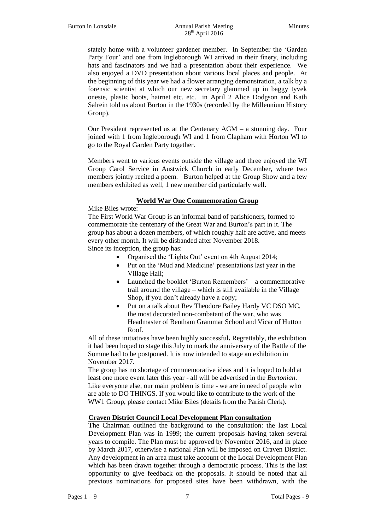stately home with a volunteer gardener member. In September the 'Garden Party Four' and one from Ingleborough WI arrived in their finery, including hats and fascinators and we had a presentation about their experience. We also enjoyed a DVD presentation about various local places and people. At the beginning of this year we had a flower arranging demonstration, a talk by a forensic scientist at which our new secretary glammed up in baggy tyvek onesie, plastic boots, hairnet etc. etc. in April 2 Alice Dodgson and Kath Salrein told us about Burton in the 1930s (recorded by the Millennium History Group).

Our President represented us at the Centenary  $AGM - a$  stunning day. Four joined with 1 from Ingleborough WI and 1 from Clapham with Horton WI to go to the Royal Garden Party together.

Members went to various events outside the village and three enjoyed the WI Group Carol Service in Austwick Church in early December, where two members jointly recited a poem. Burton helped at the Group Show and a few members exhibited as well, 1 new member did particularly well.

# **World War One Commemoration Group**

Mike Biles wrote:

The First World War Group is an informal band of parishioners, formed to commemorate the centenary of the Great War and Burton's part in it. The group has about a dozen members, of which roughly half are active, and meets every other month. It will be disbanded after November 2018. Since its inception, the group has:

- Organised the 'Lights Out' event on 4th August 2014;
- Put on the 'Mud and Medicine' presentations last year in the Village Hall;
- Launched the booklet 'Burton Remembers' a commemorative trail around the village – which is still available in the Village Shop, if you don't already have a copy;
- Put on a talk about Rev Theodore Bailey Hardy VC DSO MC, the most decorated non-combatant of the war, who was Headmaster of Bentham Grammar School and Vicar of Hutton Roof.

All of these initiatives have been highly successful**.** Regrettably, the exhibition it had been hoped to stage this July to mark the anniversary of the Battle of the Somme had to be postponed. It is now intended to stage an exhibition in November 2017.

The group has no shortage of commemorative ideas and it is hoped to hold at least one more event later this year - all will be advertised in the *Burtonian*. Like everyone else, our main problem is time - we are in need of people who are able to DO THINGS. If you would like to contribute to the work of the WW1 Group, please contact Mike Biles (details from the Parish Clerk).

## **Craven District Council Local Development Plan consultation**

The Chairman outlined the background to the consultation: the last Local Development Plan was in 1999; the current proposals having taken several years to compile. The Plan must be approved by November 2016, and in place by March 2017, otherwise a national Plan will be imposed on Craven District. Any development in an area must take account of the Local Development Plan which has been drawn together through a democratic process. This is the last opportunity to give feedback on the proposals. It should be noted that all previous nominations for proposed sites have been withdrawn, with the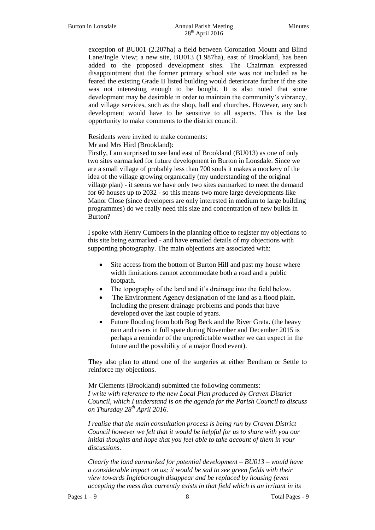exception of BU001 (2.207ha) a field between Coronation Mount and Blind Lane/Ingle View; a new site, BU013 (1.987ha), east of Brookland, has been added to the proposed development sites. The Chairman expressed disappointment that the former primary school site was not included as he feared the existing Grade II listed building would deteriorate further if the site was not interesting enough to be bought. It is also noted that some development may be desirable in order to maintain the community's vibrancy, and village services, such as the shop, hall and churches. However, any such development would have to be sensitive to all aspects. This is the last opportunity to make comments to the district council.

Residents were invited to make comments:

Mr and Mrs Hird (Brookland):

Firstly, I am surprised to see land east of Brookland (BU013) as one of only two sites earmarked for future development in Burton in Lonsdale. Since we are a small village of probably less than 700 souls it makes a mockery of the idea of the village growing organically (my understanding of the original village plan) - it seems we have only two sites earmarked to meet the demand for 60 houses up to 2032 - so this means two more large developments like Manor Close (since developers are only interested in medium to large building programmes) do we really need this size and concentration of new builds in Burton?

I spoke with Henry Cumbers in the planning office to register my objections to this site being earmarked - and have emailed details of my objections with supporting photography. The main objections are associated with:

- Site access from the bottom of Burton Hill and past my house where width limitations cannot accommodate both a road and a public footpath.
- The topography of the land and it's drainage into the field below.
- The Environment Agency designation of the land as a flood plain. Including the present drainage problems and ponds that have developed over the last couple of years.
- Future flooding from both Bog Beck and the River Greta. (the heavy rain and rivers in full spate during November and December 2015 is perhaps a reminder of the unpredictable weather we can expect in the future and the possibility of a major flood event).

They also plan to attend one of the surgeries at either Bentham or Settle to reinforce my objections.

Mr Clements (Brookland) submitted the following comments: *I write with reference to the new Local Plan produced by Craven District Council, which I understand is on the agenda for the Parish Council to discuss on Thursday 28th April 2016.*

*I realise that the main consultation process is being run by Craven District Council however we felt that it would be helpful for us to share with you our initial thoughts and hope that you feel able to take account of them in your discussions.*

*Clearly the land earmarked for potential development – BU013 – would have a considerable impact on us; it would be sad to see green fields with their view towards Ingleborough disappear and be replaced by housing (even accepting the mess that currently exists in that field which is an irritant in its*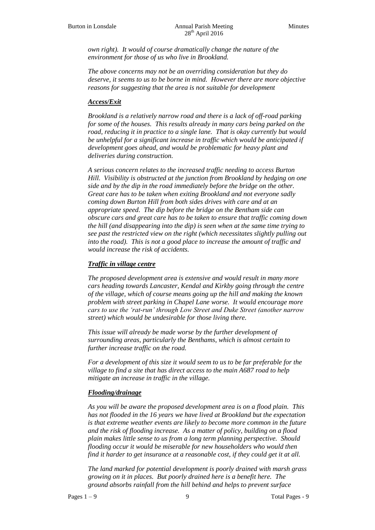*own right). It would of course dramatically change the nature of the environment for those of us who live in Brookland.*

*The above concerns may not be an overriding consideration but they do deserve, it seems to us to be borne in mind. However there are more objective reasons for suggesting that the area is not suitable for development* 

## *Access/Exit*

*Brookland is a relatively narrow road and there is a lack of off-road parking for some of the houses. This results already in many cars being parked on the road, reducing it in practice to a single lane. That is okay currently but would be unhelpful for a significant increase in traffic which would be anticipated if development goes ahead, and would be problematic for heavy plant and deliveries during construction.* 

*A serious concern relates to the increased traffic needing to access Burton Hill. Visibility is obstructed at the junction from Brookland by hedging on one side and by the dip in the road immediately before the bridge on the other. Great care has to be taken when exiting Brookland and not everyone sadly coming down Burton Hill from both sides drives with care and at an appropriate speed. The dip before the bridge on the Bentham side can obscure cars and great care has to be taken to ensure that traffic coming down the hill (and disappearing into the dip) is seen when at the same time trying to see past the restricted view on the right (which necessitates slightly pulling out into the road). This is not a good place to increase the amount of traffic and would increase the risk of accidents.*

## *Traffic in village centre*

*The proposed development area is extensive and would result in many more cars heading towards Lancaster, Kendal and Kirkby going through the centre of the village, which of course means going up the hill and making the known problem with street parking in Chapel Lane worse. It would encourage more cars to use the 'rat-run' through Low Street and Duke Street (another narrow street) which would be undesirable for those living there.*

*This issue will already be made worse by the further development of surrounding areas, particularly the Benthams, which is almost certain to further increase traffic on the road.* 

*For a development of this size it would seem to us to be far preferable for the village to find a site that has direct access to the main A687 road to help mitigate an increase in traffic in the village.*

#### *Flooding/drainage*

*As you will be aware the proposed development area is on a flood plain. This has not flooded in the 16 years we have lived at Brookland but the expectation is that extreme weather events are likely to become more common in the future and the risk of flooding increase. As a matter of policy, building on a flood plain makes little sense to us from a long term planning perspective. Should flooding occur it would be miserable for new householders who would then find it harder to get insurance at a reasonable cost, if they could get it at all.* 

*The land marked for potential development is poorly drained with marsh grass growing on it in places. But poorly drained here is a benefit here. The ground absorbs rainfall from the hill behind and helps to prevent surface*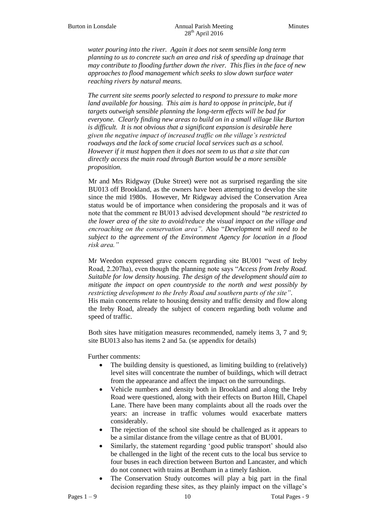*water pouring into the river. Again it does not seem sensible long term planning to us to concrete such an area and risk of speeding up drainage that may contribute to flooding further down the river. This flies in the face of new approaches to flood management which seeks to slow down surface water reaching rivers by natural means.*

*The current site seems poorly selected to respond to pressure to make more land available for housing. This aim is hard to oppose in principle, but if targets outweigh sensible planning the long-term effects will be bad for everyone. Clearly finding new areas to build on in a small village like Burton is difficult. It is not obvious that a significant expansion is desirable here given the negative impact of increased traffic on the village's restricted roadways and the lack of some crucial local services such as a school. However if it must happen then it does not seem to us that a site that can directly access the main road through Burton would be a more sensible proposition.*

Mr and Mrs Ridgway (Duke Street) were not as surprised regarding the site BU013 off Brookland, as the owners have been attempting to develop the site since the mid 1980s. However, Mr Ridgway advised the Conservation Area status would be of importance when considering the proposals and it was of note that the comment re BU013 advised development should "*be restricted to the lower area of the site to avoid/reduce the visual impact on the village and encroaching on the conservation area".* Also "*Development will need to be subject to the agreement of the Environment Agency for location in a flood risk area."*

Mr Weedon expressed grave concern regarding site BU001 "west of Ireby Road, 2.207ha), even though the planning note says "*Access from Ireby Road. Suitable for low density housing. The design of the development should aim to mitigate the impact on open countryside to the north and west possibly by restricting development to the Ireby Road and southern parts of the site"*.

His main concerns relate to housing density and traffic density and flow along the Ireby Road, already the subject of concern regarding both volume and speed of traffic.

Both sites have mitigation measures recommended, namely items 3, 7 and 9; site BU013 also has items 2 and 5a. (se appendix for details)

Further comments:

- The building density is questioned, as limiting building to (relatively) level sites will concentrate the number of buildings, which will detract from the appearance and affect the impact on the surroundings.
- Vehicle numbers and density both in Brookland and along the Ireby Road were questioned, along with their effects on Burton Hill, Chapel Lane. There have been many complaints about all the roads over the years: an increase in traffic volumes would exacerbate matters considerably.
- The rejection of the school site should be challenged as it appears to be a similar distance from the village centre as that of BU001.
- Similarly, the statement regarding 'good public transport' should also be challenged in the light of the recent cuts to the local bus service to four buses in each direction between Burton and Lancaster, and which do not connect with trains at Bentham in a timely fashion.
- The Conservation Study outcomes will play a big part in the final decision regarding these sites, as they plainly impact on the village's